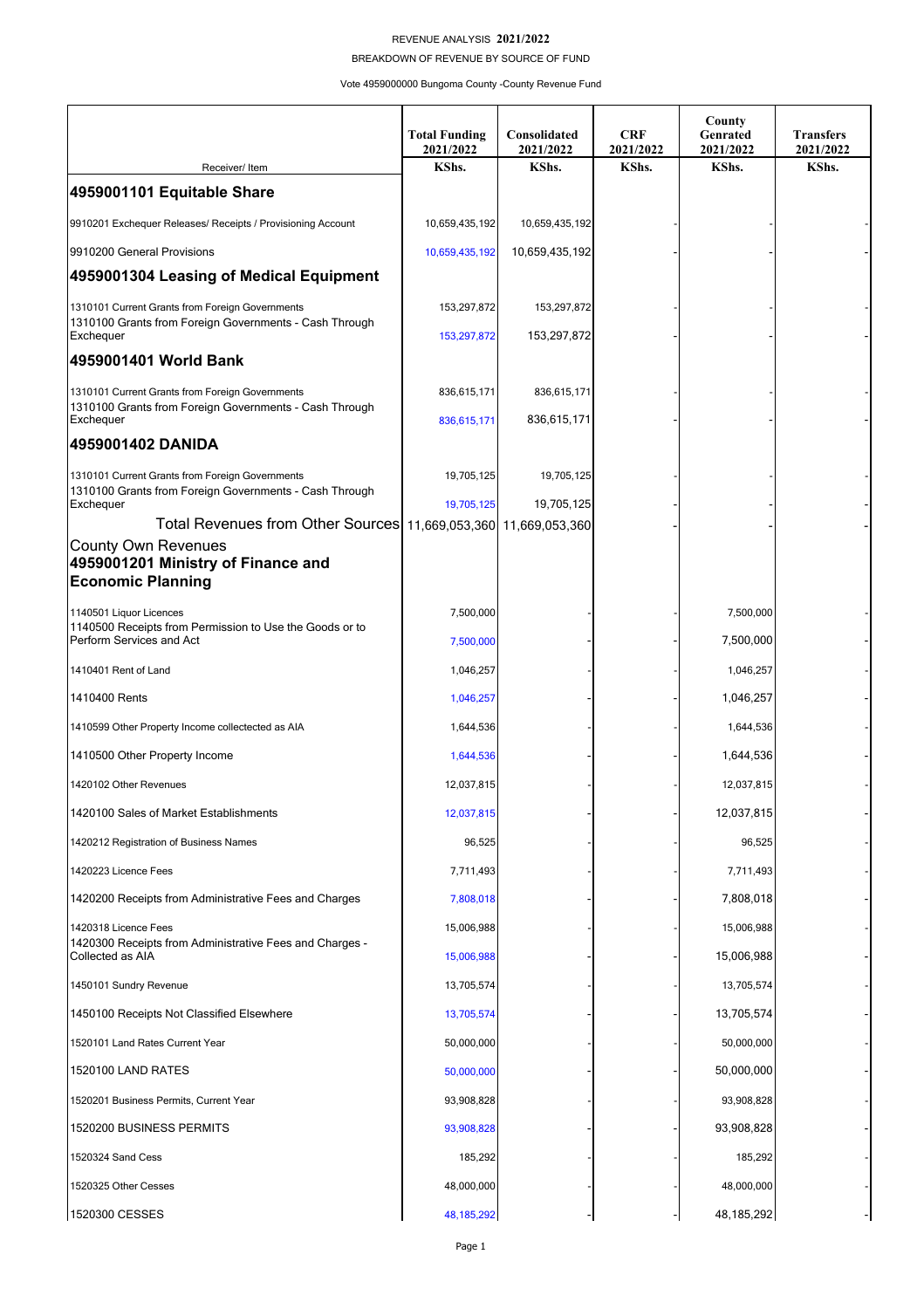## REVENUE ANALYSIS **2021/2022**

BREAKDOWN OF REVENUE BY SOURCE OF FUND

Vote 4959000000 Bungoma County -County Revenue Fund

|                                                                                                                        | <b>Total Funding</b><br>2021/2022 | Consolidated<br>2021/2022 | <b>CRF</b><br>2021/2022 | County<br>Genrated<br>2021/2022 | <b>Transfers</b><br>2021/2022 |
|------------------------------------------------------------------------------------------------------------------------|-----------------------------------|---------------------------|-------------------------|---------------------------------|-------------------------------|
| Receiver/ Item                                                                                                         | KShs.                             | KShs.                     | KShs.                   | KShs.                           | KShs.                         |
| 4959001101 Equitable Share                                                                                             |                                   |                           |                         |                                 |                               |
| 9910201 Exchequer Releases/ Receipts / Provisioning Account                                                            | 10,659,435,192                    | 10,659,435,192            |                         |                                 |                               |
| 9910200 General Provisions                                                                                             | 10,659,435,192                    | 10,659,435,192            |                         |                                 |                               |
| 4959001304 Leasing of Medical Equipment                                                                                |                                   |                           |                         |                                 |                               |
| 1310101 Current Grants from Foreign Governments<br>1310100 Grants from Foreign Governments - Cash Through<br>Exchequer | 153,297,872                       | 153,297,872               |                         |                                 |                               |
|                                                                                                                        | 153,297,872                       | 153,297,872               |                         |                                 |                               |
| 4959001401 World Bank                                                                                                  |                                   |                           |                         |                                 |                               |
| 1310101 Current Grants from Foreign Governments<br>1310100 Grants from Foreign Governments - Cash Through<br>Exchequer | 836,615,171                       | 836,615,171               |                         |                                 |                               |
|                                                                                                                        | 836,615,171                       | 836,615,171               |                         |                                 |                               |
| 4959001402 DANIDA                                                                                                      |                                   |                           |                         |                                 |                               |
| 1310101 Current Grants from Foreign Governments<br>1310100 Grants from Foreign Governments - Cash Through              | 19,705,125                        | 19,705,125                |                         |                                 |                               |
| Exchequer                                                                                                              | 19,705,125                        | 19,705,125                |                         |                                 |                               |
| Total Revenues from Other Sources 11,669,053,360 11,669,053,360<br>County Own Revenues                                 |                                   |                           |                         |                                 |                               |
| 4959001201 Ministry of Finance and<br><b>Economic Planning</b>                                                         |                                   |                           |                         |                                 |                               |
| 1140501 Liquor Licences<br>1140500 Receipts from Permission to Use the Goods or to<br>Perform Services and Act         | 7,500,000                         |                           |                         | 7,500,000                       |                               |
|                                                                                                                        | 7,500,000                         |                           |                         | 7,500,000                       |                               |
| 1410401 Rent of Land                                                                                                   | 1,046,257                         |                           |                         | 1,046,257                       |                               |
| 1410400 Rents                                                                                                          | 1,046,257                         |                           |                         | 1,046,257                       |                               |
| 1410599 Other Property Income collectected as AIA                                                                      | 1,644,536                         |                           |                         | 1,644,536                       |                               |
| 1410500 Other Property Income                                                                                          | 1,644,536                         |                           |                         | 1,644,536                       |                               |
| 1420102 Other Revenues                                                                                                 | 12,037,815                        |                           |                         | 12,037,815                      |                               |
| 1420100 Sales of Market Establishments                                                                                 | 12,037,815                        |                           |                         | 12,037,815                      |                               |
| 1420212 Registration of Business Names                                                                                 | 96,525                            |                           |                         | 96,525                          |                               |
| 1420223 Licence Fees                                                                                                   | 7,711,493                         |                           |                         | 7,711,493                       |                               |
| 1420200 Receipts from Administrative Fees and Charges                                                                  | 7,808,018                         |                           |                         | 7,808,018                       |                               |
| 1420318 Licence Fees                                                                                                   | 15,006,988                        |                           |                         | 15,006,988                      |                               |
| 1420300 Receipts from Administrative Fees and Charges -<br>Collected as AIA                                            | 15,006,988                        |                           |                         | 15,006,988                      |                               |
| 1450101 Sundry Revenue                                                                                                 | 13,705,574                        |                           |                         | 13,705,574                      |                               |
| 1450100 Receipts Not Classified Elsewhere                                                                              | 13,705,574                        |                           |                         | 13,705,574                      |                               |
| 1520101 Land Rates Current Year                                                                                        | 50,000,000                        |                           |                         | 50,000,000                      |                               |
| 1520100 LAND RATES                                                                                                     | 50,000,000                        |                           |                         | 50,000,000                      |                               |
| 1520201 Business Permits, Current Year                                                                                 | 93,908,828                        |                           |                         | 93,908,828                      |                               |
| 1520200 BUSINESS PERMITS                                                                                               | 93,908,828                        |                           |                         | 93,908,828                      |                               |
| 1520324 Sand Cess                                                                                                      | 185,292                           |                           |                         | 185,292                         |                               |
| 1520325 Other Cesses                                                                                                   | 48,000,000                        |                           |                         | 48,000,000                      |                               |
| 1520300 CESSES                                                                                                         | 48, 185, 292                      |                           |                         | 48,185,292                      |                               |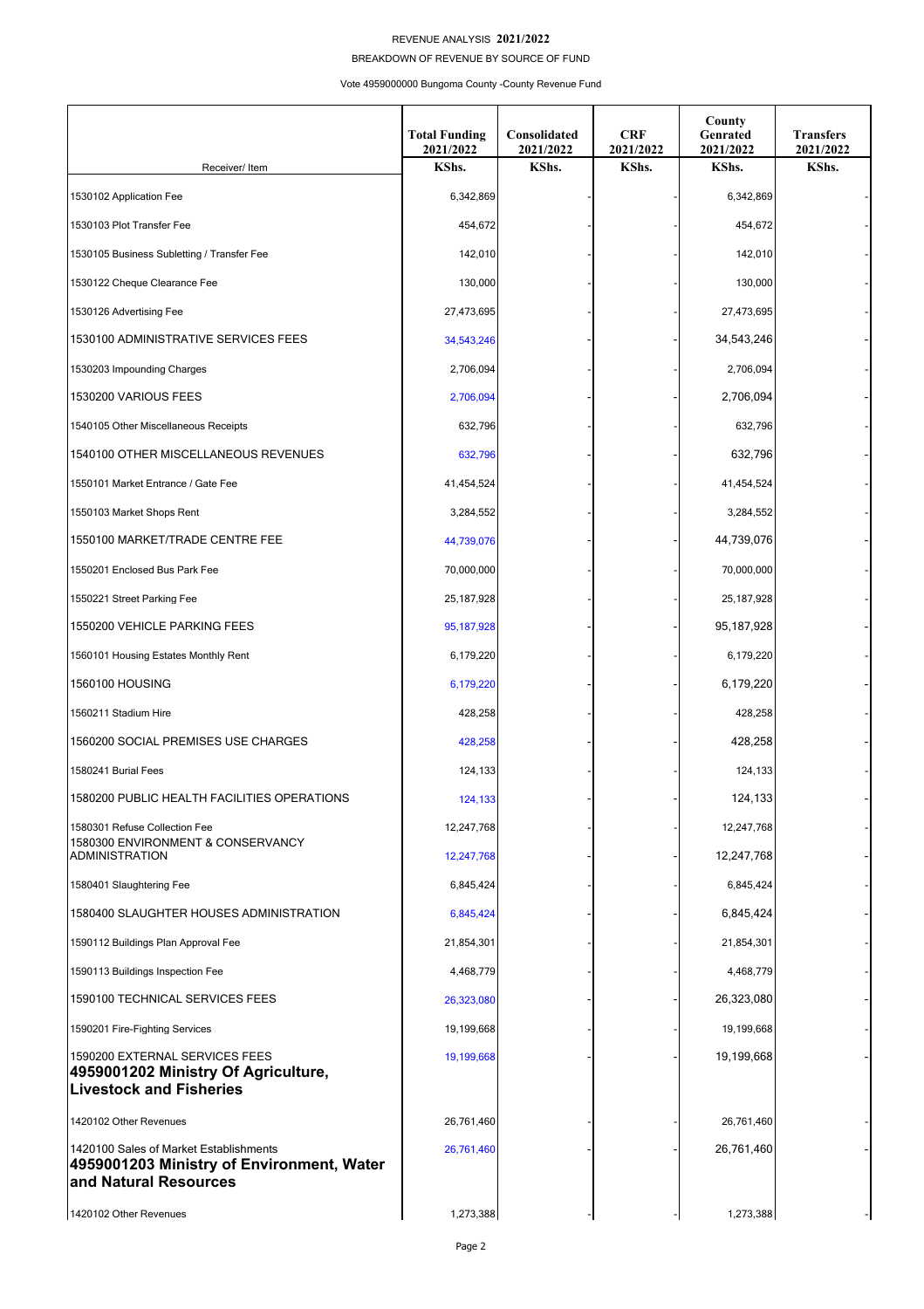## REVENUE ANALYSIS **2021/2022**

BREAKDOWN OF REVENUE BY SOURCE OF FUND

Vote 4959000000 Bungoma County -County Revenue Fund

|                                                                                                              | <b>Total Funding</b><br>2021/2022 | Consolidated<br>2021/2022 | <b>CRF</b><br>2021/2022 | County<br>Genrated<br>2021/2022 | <b>Transfers</b><br>2021/2022 |
|--------------------------------------------------------------------------------------------------------------|-----------------------------------|---------------------------|-------------------------|---------------------------------|-------------------------------|
| Receiver/ Item                                                                                               | KShs.                             | KShs.                     | KShs.                   | KShs.                           | KShs.                         |
| 1530102 Application Fee                                                                                      | 6,342,869                         |                           |                         | 6,342,869                       |                               |
| 1530103 Plot Transfer Fee                                                                                    | 454,672                           |                           |                         | 454,672                         |                               |
| 1530105 Business Subletting / Transfer Fee                                                                   | 142,010                           |                           |                         | 142,010                         |                               |
| 1530122 Cheque Clearance Fee                                                                                 | 130,000                           |                           |                         | 130,000                         |                               |
| 1530126 Advertising Fee                                                                                      | 27,473,695                        |                           |                         | 27,473,695                      |                               |
| 1530100 ADMINISTRATIVE SERVICES FEES                                                                         | 34,543,246                        |                           |                         | 34,543,246                      |                               |
| 1530203 Impounding Charges                                                                                   | 2,706,094                         |                           |                         | 2,706,094                       |                               |
| 1530200 VARIOUS FEES                                                                                         | 2,706,094                         |                           |                         | 2,706,094                       |                               |
| 1540105 Other Miscellaneous Receipts                                                                         | 632,796                           |                           |                         | 632,796                         |                               |
| 1540100 OTHER MISCELLANEOUS REVENUES                                                                         | 632,796                           |                           |                         | 632,796                         |                               |
| 1550101 Market Entrance / Gate Fee                                                                           | 41,454,524                        |                           |                         | 41,454,524                      |                               |
| 1550103 Market Shops Rent                                                                                    | 3,284,552                         |                           |                         | 3,284,552                       |                               |
| 1550100 MARKET/TRADE CENTRE FEE                                                                              | 44,739,076                        |                           |                         | 44,739,076                      |                               |
| 1550201 Enclosed Bus Park Fee                                                                                | 70,000,000                        |                           |                         | 70,000,000                      |                               |
| 1550221 Street Parking Fee                                                                                   | 25,187,928                        |                           |                         | 25, 187, 928                    |                               |
| 1550200 VEHICLE PARKING FEES                                                                                 | 95, 187, 928                      |                           |                         | 95, 187, 928                    |                               |
| 1560101 Housing Estates Monthly Rent                                                                         | 6,179,220                         |                           |                         | 6,179,220                       |                               |
| 1560100 HOUSING                                                                                              | 6,179,220                         |                           |                         | 6,179,220                       |                               |
| 1560211 Stadium Hire                                                                                         | 428,258                           |                           |                         | 428,258                         |                               |
| 1560200 SOCIAL PREMISES USE CHARGES                                                                          | 428,258                           |                           |                         | 428,258                         |                               |
| 1580241 Burial Fees                                                                                          | 124,133                           |                           |                         | 124,133                         |                               |
| 1580200 PUBLIC HEALTH FACILITIES OPERATIONS                                                                  | 124,133                           |                           |                         | 124,133                         |                               |
| 1580301 Refuse Collection Fee                                                                                | 12,247,768                        |                           |                         | 12,247,768                      |                               |
| 1580300 ENVIRONMENT & CONSERVANCY<br><b>ADMINISTRATION</b>                                                   | 12,247,768                        |                           |                         | 12,247,768                      |                               |
| 1580401 Slaughtering Fee                                                                                     | 6,845,424                         |                           |                         | 6,845,424                       |                               |
| 1580400 SLAUGHTER HOUSES ADMINISTRATION                                                                      | 6,845,424                         |                           |                         | 6,845,424                       |                               |
| 1590112 Buildings Plan Approval Fee                                                                          | 21,854,301                        |                           |                         | 21,854,301                      |                               |
| 1590113 Buildings Inspection Fee                                                                             | 4,468,779                         |                           |                         | 4,468,779                       |                               |
| 1590100 TECHNICAL SERVICES FEES                                                                              | 26,323,080                        |                           |                         | 26,323,080                      |                               |
| 1590201 Fire-Fighting Services                                                                               | 19,199,668                        |                           |                         | 19,199,668                      |                               |
| 1590200 EXTERNAL SERVICES FEES<br>4959001202 Ministry Of Agriculture,<br><b>Livestock and Fisheries</b>      | 19,199,668                        |                           |                         | 19,199,668                      |                               |
| 1420102 Other Revenues                                                                                       | 26,761,460                        |                           |                         | 26,761,460                      |                               |
| 1420100 Sales of Market Establishments<br>4959001203 Ministry of Environment, Water<br>and Natural Resources | 26,761,460                        |                           |                         | 26,761,460                      |                               |
| 1420102 Other Revenues                                                                                       | 1,273,388                         |                           |                         | 1,273,388                       |                               |